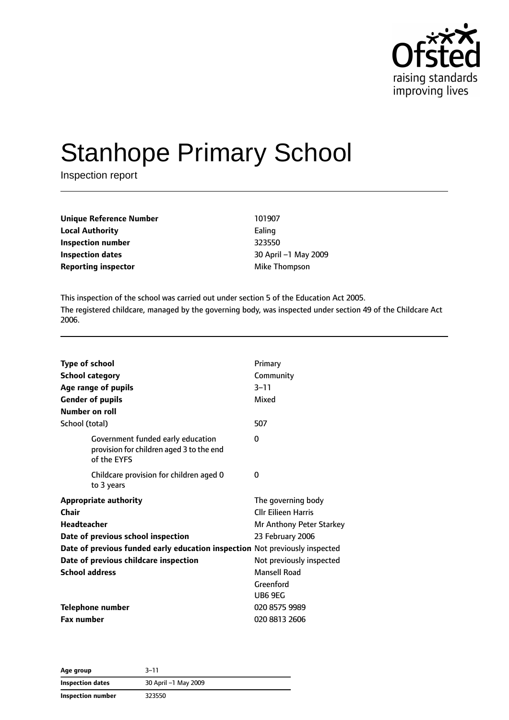

# Stanhope Primary School

Inspection report

| Unique Reference Number    | 101907          |
|----------------------------|-----------------|
| <b>Local Authority</b>     | Ealing          |
| Inspection number          | 323550          |
| Inspection dates           | 30 April -1 May |
| <b>Reporting inspector</b> | Mike Thompson   |

**Inspection number** 323550 **Inspection dates** 30 April –1 May 2009

This inspection of the school was carried out under section 5 of the Education Act 2005. The registered childcare, managed by the governing body, was inspected under section 49 of the Childcare Act 2006.

| <b>Type of school</b><br><b>School category</b><br><b>Gender of pupils</b><br>Number on roll | Age range of pupils                                                                          | Primary<br>Community<br>$3 - 11$<br>Mixed |
|----------------------------------------------------------------------------------------------|----------------------------------------------------------------------------------------------|-------------------------------------------|
| School (total)                                                                               |                                                                                              | 507                                       |
|                                                                                              | Government funded early education<br>provision for children aged 3 to the end<br>of the EYFS | 0                                         |
|                                                                                              | Childcare provision for children aged 0<br>to 3 years                                        | 0                                         |
|                                                                                              | <b>Appropriate authority</b>                                                                 | The governing body                        |
| Chair                                                                                        |                                                                                              | <b>Cllr Eilieen Harris</b>                |
| <b>Headteacher</b>                                                                           |                                                                                              | Mr Anthony Peter Starkey                  |
|                                                                                              | Date of previous school inspection                                                           | 23 February 2006                          |
|                                                                                              | Date of previous funded early education inspection Not previously inspected                  |                                           |
|                                                                                              | Date of previous childcare inspection                                                        | Not previously inspected                  |
| <b>School address</b>                                                                        |                                                                                              | Mansell Road                              |
|                                                                                              |                                                                                              | Greenford                                 |
|                                                                                              |                                                                                              | UB6 9EG                                   |
| <b>Telephone number</b>                                                                      |                                                                                              | 020 8575 9989                             |
| <b>Fax number</b>                                                                            |                                                                                              | 020 8813 2606                             |

| Age group         | $3 - 11$             |
|-------------------|----------------------|
| Inspection dates  | 30 April -1 May 2009 |
| Inspection number | 323550               |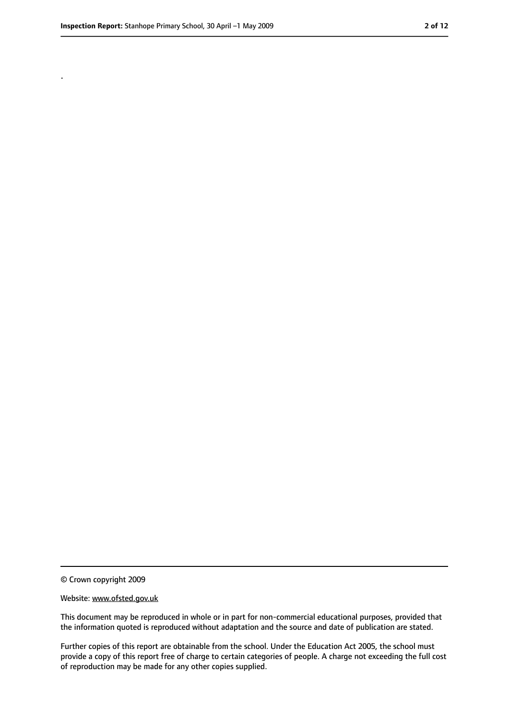.

<sup>©</sup> Crown copyright 2009

Website: www.ofsted.gov.uk

This document may be reproduced in whole or in part for non-commercial educational purposes, provided that the information quoted is reproduced without adaptation and the source and date of publication are stated.

Further copies of this report are obtainable from the school. Under the Education Act 2005, the school must provide a copy of this report free of charge to certain categories of people. A charge not exceeding the full cost of reproduction may be made for any other copies supplied.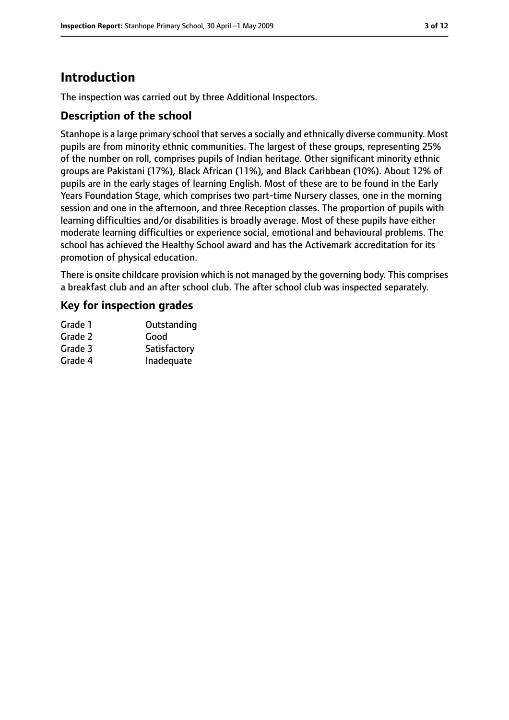# **Introduction**

The inspection was carried out by three Additional Inspectors.

#### **Description of the school**

Stanhope is a large primary school that serves a socially and ethnically diverse community. Most pupils are from minority ethnic communities. The largest of these groups, representing 25% of the number on roll, comprises pupils of Indian heritage. Other significant minority ethnic groups are Pakistani (17%), Black African (11%), and Black Caribbean (10%). About 12% of pupils are in the early stages of learning English. Most of these are to be found in the Early Years Foundation Stage, which comprises two part-time Nursery classes, one in the morning session and one in the afternoon, and three Reception classes. The proportion of pupils with learning difficulties and/or disabilities is broadly average. Most of these pupils have either moderate learning difficulties or experience social, emotional and behavioural problems. The school has achieved the Healthy School award and has the Activemark accreditation for its promotion of physical education.

There is onsite childcare provision which is not managed by the governing body. This comprises a breakfast club and an after school club. The after school club was inspected separately.

#### **Key for inspection grades**

| Grade 1 | Outstanding  |
|---------|--------------|
| Grade 2 | Good         |
| Grade 3 | Satisfactory |
| Grade 4 | Inadequate   |
|         |              |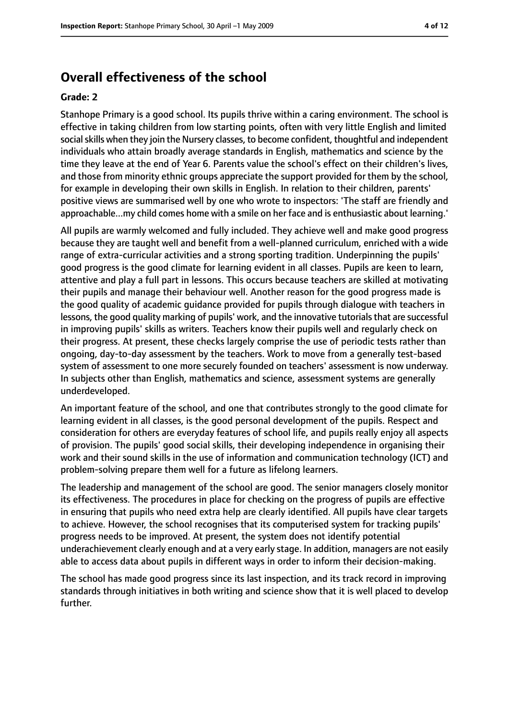### **Overall effectiveness of the school**

#### **Grade: 2**

Stanhope Primary is a good school. Its pupils thrive within a caring environment. The school is effective in taking children from low starting points, often with very little English and limited social skills when they join the Nursery classes, to become confident, thoughtful and independent individuals who attain broadly average standards in English, mathematics and science by the time they leave at the end of Year 6. Parents value the school's effect on their children's lives, and those from minority ethnic groups appreciate the support provided for them by the school, for example in developing their own skills in English. In relation to their children, parents' positive views are summarised well by one who wrote to inspectors: 'The staff are friendly and approachable...my child comes home with a smile on her face and is enthusiastic about learning.'

All pupils are warmly welcomed and fully included. They achieve well and make good progress because they are taught well and benefit from a well-planned curriculum, enriched with a wide range of extra-curricular activities and a strong sporting tradition. Underpinning the pupils' good progress is the good climate for learning evident in all classes. Pupils are keen to learn, attentive and play a full part in lessons. This occurs because teachers are skilled at motivating their pupils and manage their behaviour well. Another reason for the good progress made is the good quality of academic guidance provided for pupils through dialogue with teachers in lessons, the good quality marking of pupils' work, and the innovative tutorials that are successful in improving pupils' skills as writers. Teachers know their pupils well and regularly check on their progress. At present, these checks largely comprise the use of periodic tests rather than ongoing, day-to-day assessment by the teachers. Work to move from a generally test-based system of assessment to one more securely founded on teachers' assessment is now underway. In subjects other than English, mathematics and science, assessment systems are generally underdeveloped.

An important feature of the school, and one that contributes strongly to the good climate for learning evident in all classes, is the good personal development of the pupils. Respect and consideration for others are everyday features of school life, and pupils really enjoy all aspects of provision. The pupils' good social skills, their developing independence in organising their work and their sound skills in the use of information and communication technology (ICT) and problem-solving prepare them well for a future as lifelong learners.

The leadership and management of the school are good. The senior managers closely monitor its effectiveness. The procedures in place for checking on the progress of pupils are effective in ensuring that pupils who need extra help are clearly identified. All pupils have clear targets to achieve. However, the school recognises that its computerised system for tracking pupils' progress needs to be improved. At present, the system does not identify potential underachievement clearly enough and at a very early stage. In addition, managers are not easily able to access data about pupils in different ways in order to inform their decision-making.

The school has made good progress since its last inspection, and its track record in improving standards through initiatives in both writing and science show that it is well placed to develop further.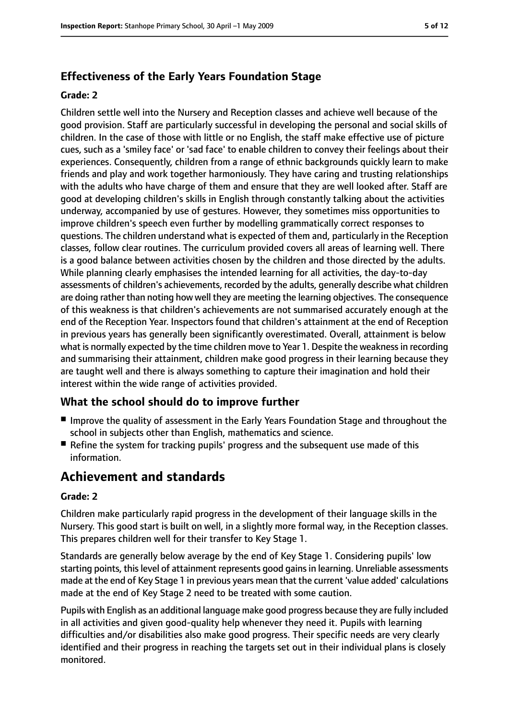## **Effectiveness of the Early Years Foundation Stage**

#### **Grade: 2**

Children settle well into the Nursery and Reception classes and achieve well because of the good provision. Staff are particularly successful in developing the personal and social skills of children. In the case of those with little or no English, the staff make effective use of picture cues, such as a 'smiley face' or 'sad face' to enable children to convey their feelings about their experiences. Consequently, children from a range of ethnic backgrounds quickly learn to make friends and play and work together harmoniously. They have caring and trusting relationships with the adults who have charge of them and ensure that they are well looked after. Staff are good at developing children's skills in English through constantly talking about the activities underway, accompanied by use of gestures. However, they sometimes miss opportunities to improve children's speech even further by modelling grammatically correct responses to questions. The children understand what is expected of them and, particularly in the Reception classes, follow clear routines. The curriculum provided covers all areas of learning well. There is a good balance between activities chosen by the children and those directed by the adults. While planning clearly emphasises the intended learning for all activities, the day-to-day assessments of children's achievements, recorded by the adults, generally describe what children are doing rather than noting how well they are meeting the learning objectives. The consequence of this weakness is that children's achievements are not summarised accurately enough at the end of the Reception Year. Inspectors found that children's attainment at the end of Reception in previous years has generally been significantly overestimated. Overall, attainment is below what is normally expected by the time children move to Year 1. Despite the weakness in recording and summarising their attainment, children make good progress in their learning because they are taught well and there is always something to capture their imagination and hold their interest within the wide range of activities provided.

#### **What the school should do to improve further**

- Improve the quality of assessment in the Early Years Foundation Stage and throughout the school in subjects other than English, mathematics and science.
- Refine the system for tracking pupils' progress and the subsequent use made of this information.

# **Achievement and standards**

#### **Grade: 2**

Children make particularly rapid progress in the development of their language skills in the Nursery. This good start is built on well, in a slightly more formal way, in the Reception classes. This prepares children well for their transfer to Key Stage 1.

Standards are generally below average by the end of Key Stage 1. Considering pupils' low starting points, this level of attainment represents good gains in learning. Unreliable assessments made at the end of Key Stage 1 in previous years mean that the current 'value added' calculations made at the end of Key Stage 2 need to be treated with some caution.

Pupils with English as an additional language make good progress because they are fully included in all activities and given good-quality help whenever they need it. Pupils with learning difficulties and/or disabilities also make good progress. Their specific needs are very clearly identified and their progress in reaching the targets set out in their individual plans is closely monitored.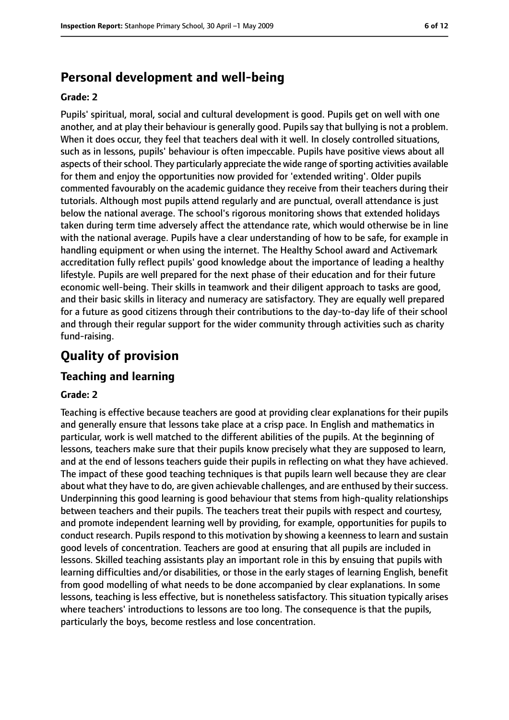# **Personal development and well-being**

#### **Grade: 2**

Pupils' spiritual, moral, social and cultural development is good. Pupils get on well with one another, and at play their behaviour is generally good. Pupils say that bullying is not a problem. When it does occur, they feel that teachers deal with it well. In closely controlled situations, such as in lessons, pupils' behaviour is often impeccable. Pupils have positive views about all aspects of their school. They particularly appreciate the wide range of sporting activities available for them and enjoy the opportunities now provided for 'extended writing'. Older pupils commented favourably on the academic guidance they receive from their teachers during their tutorials. Although most pupils attend regularly and are punctual, overall attendance is just below the national average. The school's rigorous monitoring shows that extended holidays taken during term time adversely affect the attendance rate, which would otherwise be in line with the national average. Pupils have a clear understanding of how to be safe, for example in handling equipment or when using the internet. The Healthy School award and Activemark accreditation fully reflect pupils' good knowledge about the importance of leading a healthy lifestyle. Pupils are well prepared for the next phase of their education and for their future economic well-being. Their skills in teamwork and their diligent approach to tasks are good, and their basic skills in literacy and numeracy are satisfactory. They are equally well prepared for a future as good citizens through their contributions to the day-to-day life of their school and through their regular support for the wider community through activities such as charity fund-raising.

# **Quality of provision**

#### **Teaching and learning**

#### **Grade: 2**

Teaching is effective because teachers are good at providing clear explanations for their pupils and generally ensure that lessons take place at a crisp pace. In English and mathematics in particular, work is well matched to the different abilities of the pupils. At the beginning of lessons, teachers make sure that their pupils know precisely what they are supposed to learn, and at the end of lessons teachers guide their pupils in reflecting on what they have achieved. The impact of these good teaching techniques is that pupils learn well because they are clear about what they have to do, are given achievable challenges, and are enthused by their success. Underpinning this good learning is good behaviour that stems from high-quality relationships between teachers and their pupils. The teachers treat their pupils with respect and courtesy, and promote independent learning well by providing, for example, opportunities for pupils to conduct research. Pupils respond to this motivation by showing a keenness to learn and sustain good levels of concentration. Teachers are good at ensuring that all pupils are included in lessons. Skilled teaching assistants play an important role in this by ensuing that pupils with learning difficulties and/or disabilities, or those in the early stages of learning English, benefit from good modelling of what needs to be done accompanied by clear explanations. In some lessons, teaching is less effective, but is nonetheless satisfactory. This situation typically arises where teachers' introductions to lessons are too long. The consequence is that the pupils, particularly the boys, become restless and lose concentration.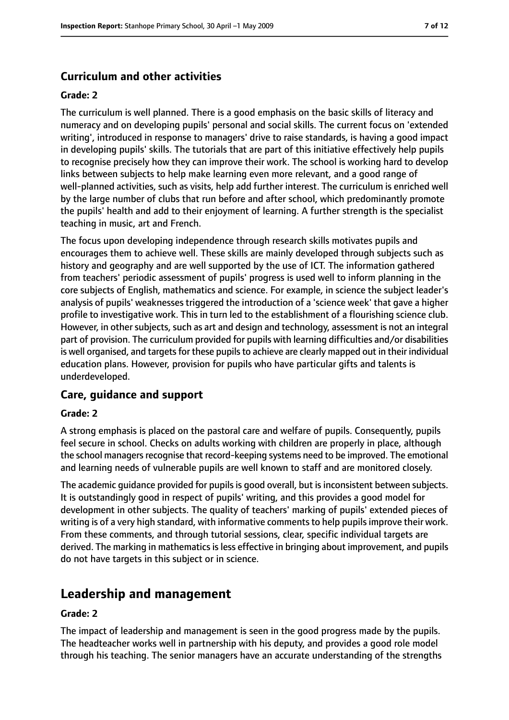### **Curriculum and other activities**

#### **Grade: 2**

The curriculum is well planned. There is a good emphasis on the basic skills of literacy and numeracy and on developing pupils' personal and social skills. The current focus on 'extended writing', introduced in response to managers' drive to raise standards, is having a good impact in developing pupils' skills. The tutorials that are part of this initiative effectively help pupils to recognise precisely how they can improve their work. The school is working hard to develop links between subjects to help make learning even more relevant, and a good range of well-planned activities, such as visits, help add further interest. The curriculum is enriched well by the large number of clubs that run before and after school, which predominantly promote the pupils' health and add to their enjoyment of learning. A further strength is the specialist teaching in music, art and French.

The focus upon developing independence through research skills motivates pupils and encourages them to achieve well. These skills are mainly developed through subjects such as history and geography and are well supported by the use of ICT. The information gathered from teachers' periodic assessment of pupils' progress is used well to inform planning in the core subjects of English, mathematics and science. For example, in science the subject leader's analysis of pupils' weaknesses triggered the introduction of a 'science week' that gave a higher profile to investigative work. This in turn led to the establishment of a flourishing science club. However, in other subjects, such as art and design and technology, assessment is not an integral part of provision. The curriculum provided for pupils with learning difficulties and/or disabilities is well organised, and targets for these pupils to achieve are clearly mapped out in their individual education plans. However, provision for pupils who have particular gifts and talents is underdeveloped.

#### **Care, guidance and support**

#### **Grade: 2**

A strong emphasis is placed on the pastoral care and welfare of pupils. Consequently, pupils feel secure in school. Checks on adults working with children are properly in place, although the school managers recognise that record-keeping systems need to be improved. The emotional and learning needs of vulnerable pupils are well known to staff and are monitored closely.

The academic quidance provided for pupils is good overall, but is inconsistent between subjects. It is outstandingly good in respect of pupils' writing, and this provides a good model for development in other subjects. The quality of teachers' marking of pupils' extended pieces of writing is of a very high standard, with informative comments to help pupils improve their work. From these comments, and through tutorial sessions, clear, specific individual targets are derived. The marking in mathematics is less effective in bringing about improvement, and pupils do not have targets in this subject or in science.

# **Leadership and management**

#### **Grade: 2**

The impact of leadership and management is seen in the good progress made by the pupils. The headteacher works well in partnership with his deputy, and provides a good role model through his teaching. The senior managers have an accurate understanding of the strengths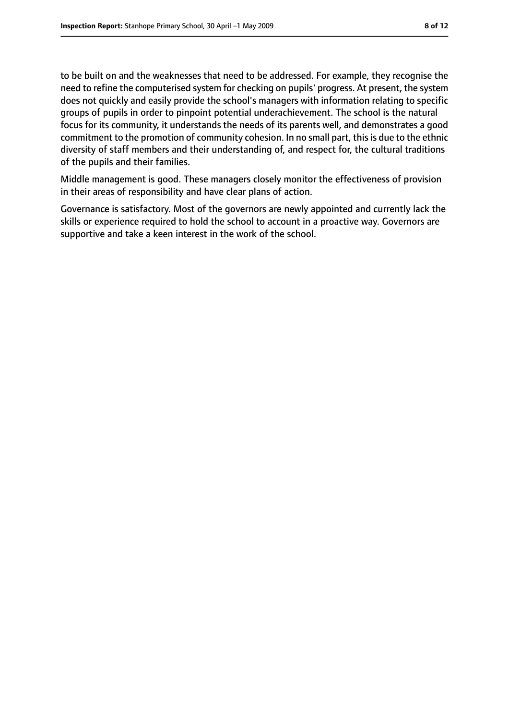to be built on and the weaknesses that need to be addressed. For example, they recognise the need to refine the computerised system for checking on pupils' progress. At present, the system does not quickly and easily provide the school's managers with information relating to specific groups of pupils in order to pinpoint potential underachievement. The school is the natural focus for its community, it understands the needs of its parents well, and demonstrates a good commitment to the promotion of community cohesion. In no small part, this is due to the ethnic diversity of staff members and their understanding of, and respect for, the cultural traditions of the pupils and their families.

Middle management is good. These managers closely monitor the effectiveness of provision in their areas of responsibility and have clear plans of action.

Governance is satisfactory. Most of the governors are newly appointed and currently lack the skills or experience required to hold the school to account in a proactive way. Governors are supportive and take a keen interest in the work of the school.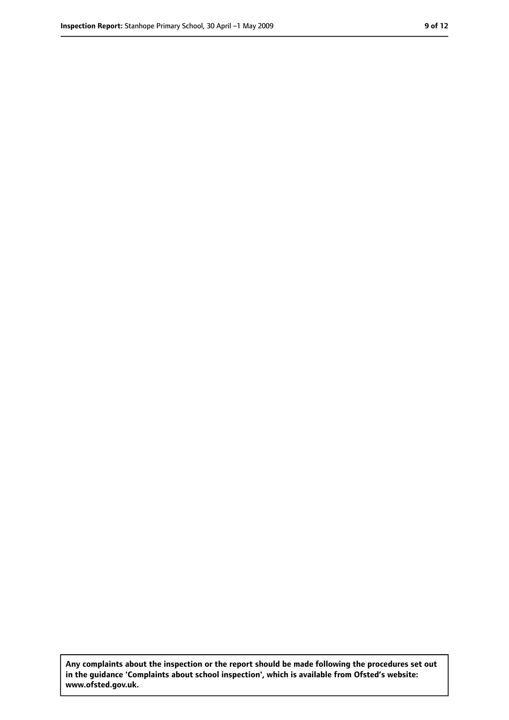**Any complaints about the inspection or the report should be made following the procedures set out in the guidance 'Complaints about school inspection', which is available from Ofsted's website: www.ofsted.gov.uk.**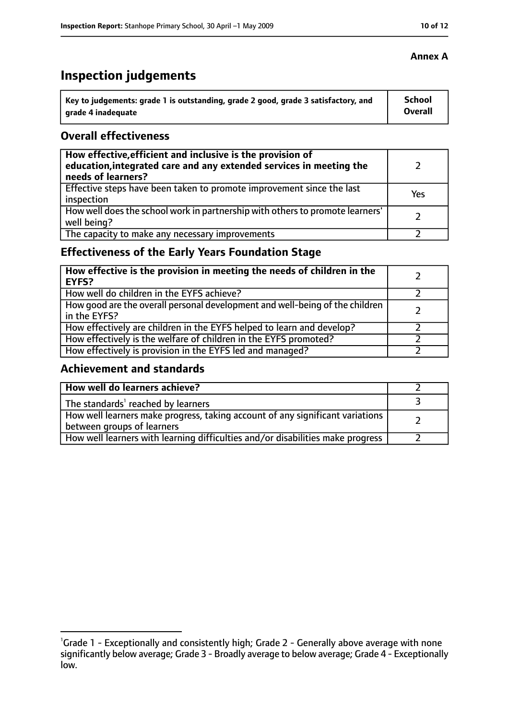# **Inspection judgements**

| Key to judgements: grade 1 is outstanding, grade 2 good, grade 3 satisfactory, and | <b>School</b>  |
|------------------------------------------------------------------------------------|----------------|
| arade 4 inadequate                                                                 | <b>Overall</b> |

#### **Overall effectiveness**

| How effective, efficient and inclusive is the provision of<br>education, integrated care and any extended services in meeting the<br>needs of learners? |     |
|---------------------------------------------------------------------------------------------------------------------------------------------------------|-----|
| Effective steps have been taken to promote improvement since the last<br>inspection                                                                     | Yes |
| How well does the school work in partnership with others to promote learners'<br>well being?                                                            |     |
| The capacity to make any necessary improvements                                                                                                         |     |

### **Effectiveness of the Early Years Foundation Stage**

| How effective is the provision in meeting the needs of children in the<br><b>EYFS?</b>       |  |
|----------------------------------------------------------------------------------------------|--|
| How well do children in the EYFS achieve?                                                    |  |
| How good are the overall personal development and well-being of the children<br>in the EYFS? |  |
| How effectively are children in the EYFS helped to learn and develop?                        |  |
| How effectively is the welfare of children in the EYFS promoted?                             |  |
| How effectively is provision in the EYFS led and managed?                                    |  |

#### **Achievement and standards**

| How well do learners achieve?                                                                               |  |
|-------------------------------------------------------------------------------------------------------------|--|
| The standards <sup>1</sup> reached by learners                                                              |  |
| How well learners make progress, taking account of any significant variations<br>between groups of learners |  |
| How well learners with learning difficulties and/or disabilities make progress                              |  |

<sup>&</sup>lt;sup>1</sup>Grade 1 - Exceptionally and consistently high; Grade 2 - Generally above average with none significantly below average; Grade 3 - Broadly average to below average; Grade 4 - Exceptionally low.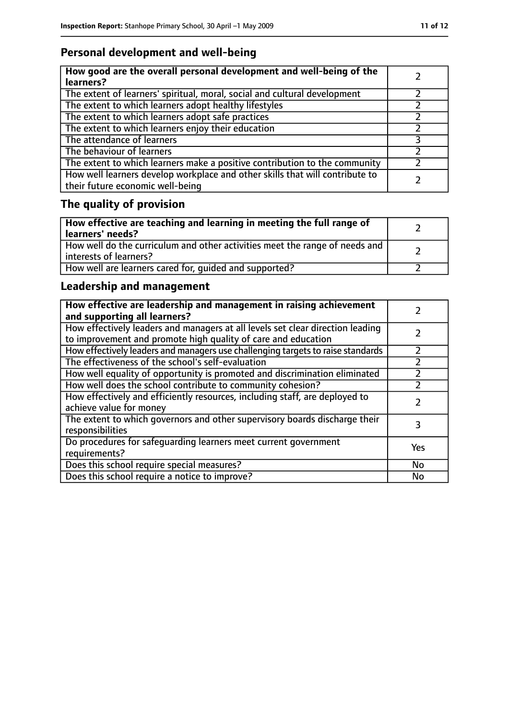# **Personal development and well-being**

| How good are the overall personal development and well-being of the<br>learners?                                 |  |
|------------------------------------------------------------------------------------------------------------------|--|
| The extent of learners' spiritual, moral, social and cultural development                                        |  |
| The extent to which learners adopt healthy lifestyles                                                            |  |
| The extent to which learners adopt safe practices                                                                |  |
| The extent to which learners enjoy their education                                                               |  |
| The attendance of learners                                                                                       |  |
| The behaviour of learners                                                                                        |  |
| The extent to which learners make a positive contribution to the community                                       |  |
| How well learners develop workplace and other skills that will contribute to<br>their future economic well-being |  |

# **The quality of provision**

| How effective are teaching and learning in meeting the full range of<br>learners' needs?              |  |
|-------------------------------------------------------------------------------------------------------|--|
| How well do the curriculum and other activities meet the range of needs and<br>interests of learners? |  |
| How well are learners cared for, quided and supported?                                                |  |

# **Leadership and management**

| How effective are leadership and management in raising achievement<br>and supporting all learners?                                              |     |
|-------------------------------------------------------------------------------------------------------------------------------------------------|-----|
| How effectively leaders and managers at all levels set clear direction leading<br>to improvement and promote high quality of care and education |     |
| How effectively leaders and managers use challenging targets to raise standards                                                                 |     |
| The effectiveness of the school's self-evaluation                                                                                               |     |
| How well equality of opportunity is promoted and discrimination eliminated                                                                      |     |
| How well does the school contribute to community cohesion?                                                                                      |     |
| How effectively and efficiently resources, including staff, are deployed to<br>achieve value for money                                          |     |
| The extent to which governors and other supervisory boards discharge their<br>responsibilities                                                  | 3   |
| Do procedures for safequarding learners meet current government<br>requirements?                                                                | Yes |
| Does this school require special measures?                                                                                                      | No  |
| Does this school require a notice to improve?                                                                                                   | No  |